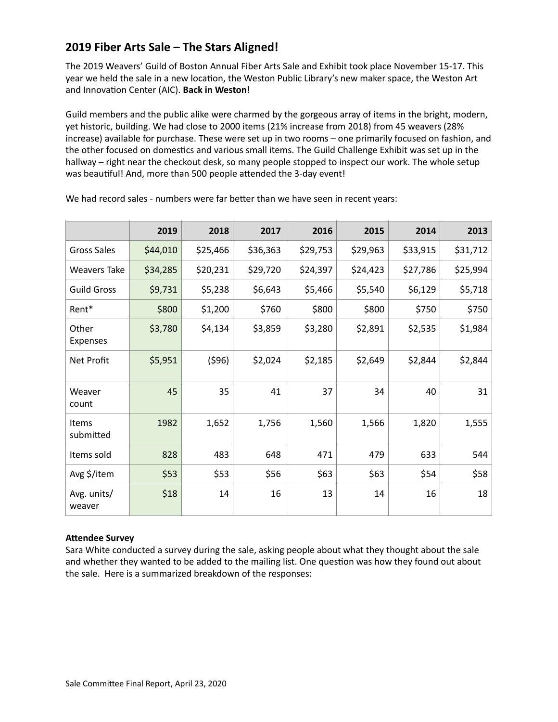# **2019 Fiber Arts Sale – The Stars Aligned!**

The 2019 Weavers' Guild of Boston Annual Fiber Arts Sale and Exhibit took place November 15-17. This year we held the sale in a new location, the Weston Public Library's new maker space, the Weston Art and Innovation Center (AIC). Back in Weston!

Guild members and the public alike were charmed by the gorgeous array of items in the bright, modern, yet historic, building. We had close to 2000 items (21% increase from 2018) from 45 weavers (28% increase) available for purchase. These were set up in two rooms - one primarily focused on fashion, and the other focused on domestics and various small items. The Guild Challenge Exhibit was set up in the hallway – right near the checkout desk, so many people stopped to inspect our work. The whole setup was beautiful! And, more than 500 people attended the 3-day event!

|                           | 2019     | 2018     | 2017     | 2016     | 2015     | 2014     | 2013     |
|---------------------------|----------|----------|----------|----------|----------|----------|----------|
| <b>Gross Sales</b>        | \$44,010 | \$25,466 | \$36,363 | \$29,753 | \$29,963 | \$33,915 | \$31,712 |
| <b>Weavers Take</b>       | \$34,285 | \$20,231 | \$29,720 | \$24,397 | \$24,423 | \$27,786 | \$25,994 |
| <b>Guild Gross</b>        | \$9,731  | \$5,238  | \$6,643  | \$5,466  | \$5,540  | \$6,129  | \$5,718  |
| Rent*                     | \$800    | \$1,200  | \$760    | \$800    | \$800    | \$750    | \$750    |
| Other<br>Expenses         | \$3,780  | \$4,134  | \$3,859  | \$3,280  | \$2,891  | \$2,535  | \$1,984  |
| Net Profit                | \$5,951  | (596)    | \$2,024  | \$2,185  | \$2,649  | \$2,844  | \$2,844  |
| Weaver<br>count           | 45       | 35       | 41       | 37       | 34       | 40       | 31       |
| <b>Items</b><br>submitted | 1982     | 1,652    | 1,756    | 1,560    | 1,566    | 1,820    | 1,555    |
| Items sold                | 828      | 483      | 648      | 471      | 479      | 633      | 544      |
| Avg \$/item               | \$53     | \$53     | \$56     | \$63     | \$63     | \$54     | \$58     |
| Avg. units/<br>weaver     | \$18     | 14       | 16       | 13       | 14       | 16       | 18       |

We had record sales - numbers were far better than we have seen in recent years:

### **Attendee Survey**

Sara White conducted a survey during the sale, asking people about what they thought about the sale and whether they wanted to be added to the mailing list. One question was how they found out about the sale. Here is a summarized breakdown of the responses: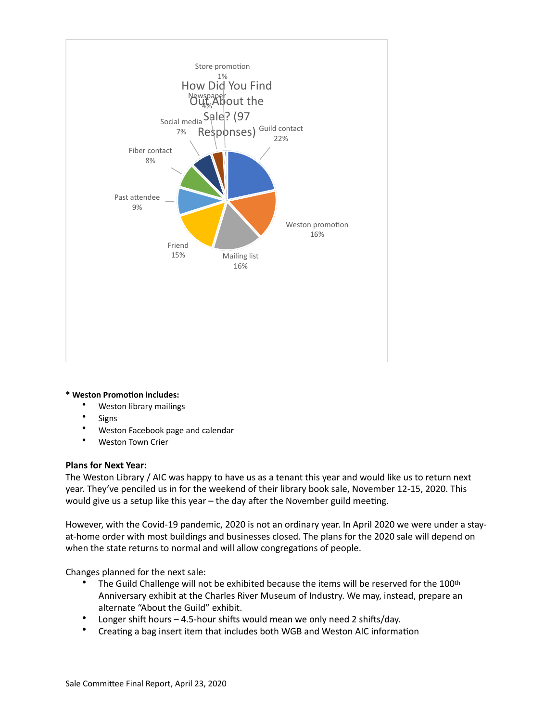

#### $*$  Weston Promotion includes:

- Weston library mailings
- **Signs**
- Weston Facebook page and calendar
- Weston Town Crier

#### **Plans for Next Year:**

The Weston Library / AIC was happy to have us as a tenant this year and would like us to return next year. They've penciled us in for the weekend of their library book sale, November 12-15, 2020. This would give us a setup like this year  $-$  the day after the November guild meeting.

However, with the Covid-19 pandemic, 2020 is not an ordinary year. In April 2020 we were under a stayat-home order with most buildings and businesses closed. The plans for the 2020 sale will depend on when the state returns to normal and will allow congregations of people.

Changes planned for the next sale:

- The Guild Challenge will not be exhibited because the items will be reserved for the 100<sup>th</sup> Anniversary exhibit at the Charles River Museum of Industry. We may, instead, prepare an alternate "About the Guild" exhibit.
- Longer shift hours  $-$  4.5-hour shifts would mean we only need 2 shifts/day.
- Creating a bag insert item that includes both WGB and Weston AIC information